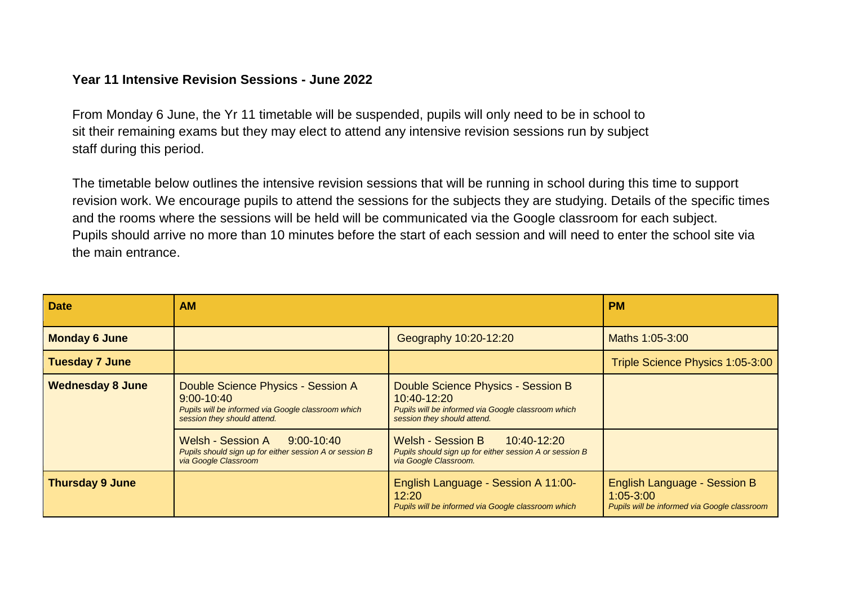## **Year 11 Intensive Revision Sessions - June 2022**

From Monday 6 June, the Yr 11 timetable will be suspended, pupils will only need to be in school to sit their remaining exams but they may elect to attend any intensive revision sessions run by subject staff during this period.

The timetable below outlines the intensive revision sessions that will be running in school during this time to support revision work. We encourage pupils to attend the sessions for the subjects they are studying. Details of the specific times and the rooms where the sessions will be held will be communicated via the Google classroom for each subject. Pupils should arrive no more than 10 minutes before the start of each session and will need to enter the school site via the main entrance.

| <b>Date</b>             | <b>AM</b>                                                                                                                                                                                                                                   |                                                                                                                                                                                                                                              | <b>PM</b>                                                                                     |
|-------------------------|---------------------------------------------------------------------------------------------------------------------------------------------------------------------------------------------------------------------------------------------|----------------------------------------------------------------------------------------------------------------------------------------------------------------------------------------------------------------------------------------------|-----------------------------------------------------------------------------------------------|
| <b>Monday 6 June</b>    |                                                                                                                                                                                                                                             | Geography 10:20-12:20                                                                                                                                                                                                                        | Maths 1:05-3:00                                                                               |
| <b>Tuesday 7 June</b>   |                                                                                                                                                                                                                                             |                                                                                                                                                                                                                                              | Triple Science Physics 1:05-3:00                                                              |
| <b>Wednesday 8 June</b> | Double Science Physics - Session A<br>$9:00 - 10:40$<br>Pupils will be informed via Google classroom which<br>session they should attend.<br>Welsh - Session A<br>$9:00 - 10:40$<br>Pupils should sign up for either session A or session B | Double Science Physics - Session B<br>10:40-12:20<br>Pupils will be informed via Google classroom which<br>session they should attend.<br><b>Welsh - Session B</b><br>10:40-12:20<br>Pupils should sign up for either session A or session B |                                                                                               |
|                         | via Google Classroom                                                                                                                                                                                                                        | via Google Classroom.                                                                                                                                                                                                                        |                                                                                               |
| <b>Thursday 9 June</b>  |                                                                                                                                                                                                                                             | English Language - Session A 11:00-<br>12:20<br>Pupils will be informed via Google classroom which                                                                                                                                           | English Language - Session B<br>$1:05 - 3:00$<br>Pupils will be informed via Google classroom |